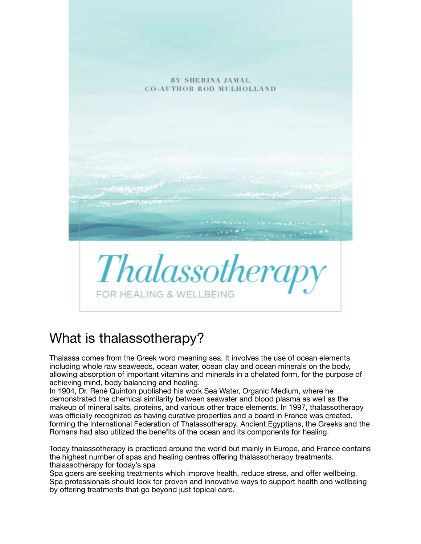

## What is thalassotherapy?

Thalassa comes from the Greek word meaning sea. It involves the use of ocean elements including whole raw seaweeds, ocean water, ocean clay and ocean minerals on the body, allowing absorption of important vitamins and minerals in a chelated form, for the purpose of achieving mind, body balancing and healing.

In 1904, Dr. René Quinton published his work Sea Water, Organic Medium, where he demonstrated the chemical similarity between seawater and blood plasma as well as the makeup of mineral salts, proteins, and various other trace elements. In 1997, thalassotherapy was officially recognized as having curative properties and a board in France was created, forming the International Federation of Thalassotherapy. Ancient Egyptians, the Greeks and the Romans had also utilized the benefits of the ocean and its components for healing.

Today thalassotherapy is practiced around the world but mainly in Europe, and France contains the highest number of spas and healing centres offering thalassotherapy treatments. thalassotherapy for today's spa

Spa goers are seeking treatments which improve health, reduce stress, and offer wellbeing. Spa professionals should look for proven and innovative ways to support health and wellbeing by offering treatments that go beyond just topical care.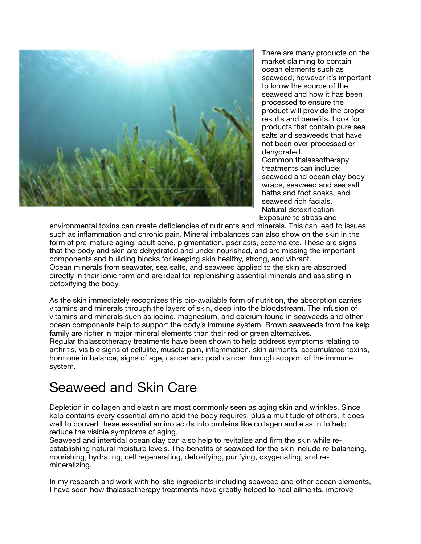

There are many products on the market claiming to contain ocean elements such as seaweed, however it's important to know the source of the seaweed and how it has been processed to ensure the product will provide the proper results and benefits. Look for products that contain pure sea salts and seaweeds that have not been over processed or dehydrated. Common thalassotherapy treatments can include: seaweed and ocean clay body wraps, seaweed and sea salt baths and foot soaks, and seaweed rich facials. Natural detoxification

environmental toxins can create deficiencies of nutrients and minerals. This can lead to issues such as inflammation and chronic pain. Mineral imbalances can also show on the skin in the form of pre-mature aging, adult acne, pigmentation, psoriasis, eczema etc. These are signs that the body and skin are dehydrated and under nourished, and are missing the important components and building blocks for keeping skin healthy, strong, and vibrant. Ocean minerals from seawater, sea salts, and seaweed applied to the skin are absorbed directly in their ionic form and are ideal for replenishing essential minerals and assisting in detoxifying the body.

As the skin immediately recognizes this bio-available form of nutrition, the absorption carries vitamins and minerals through the layers of skin, deep into the bloodstream. The infusion of vitamins and minerals such as iodine, magnesium, and calcium found in seaweeds and other ocean components help to support the body's immune system. Brown seaweeds from the kelp family are richer in major mineral elements than their red or green alternatives. Regular thalassotherapy treatments have been shown to help address symptoms relating to arthritis, visible signs of cellulite, muscle pain, inflammation, skin ailments, accumulated toxins, hormone imbalance, signs of age, cancer and post cancer through support of the immune system.

## Seaweed and Skin Care

Depletion in collagen and elastin are most commonly seen as aging skin and wrinkles. Since kelp contains every essential amino acid the body requires, plus a multitude of others, it does well to convert these essential amino acids into proteins like collagen and elastin to help reduce the visible symptoms of aging.

Seaweed and intertidal ocean clay can also help to revitalize and firm the skin while reestablishing natural moisture levels. The benefits of seaweed for the skin include re-balancing, nourishing, hydrating, cell regenerating, detoxifying, purifying, oxygenating, and remineralizing.

In my research and work with holistic ingredients including seaweed and other ocean elements, I have seen how thalassotherapy treatments have greatly helped to heal ailments, improve